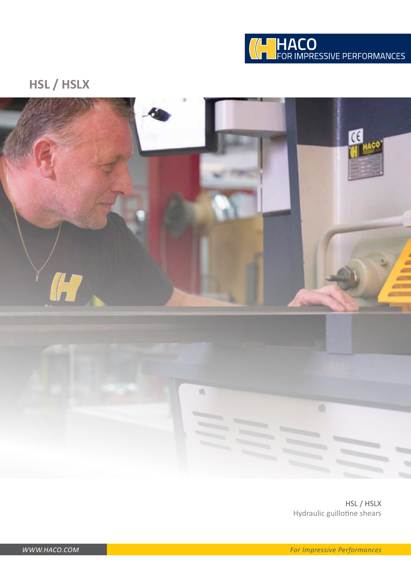

## **HSL / HSLX**



HSL / HSLX Hydraulic guillotine shears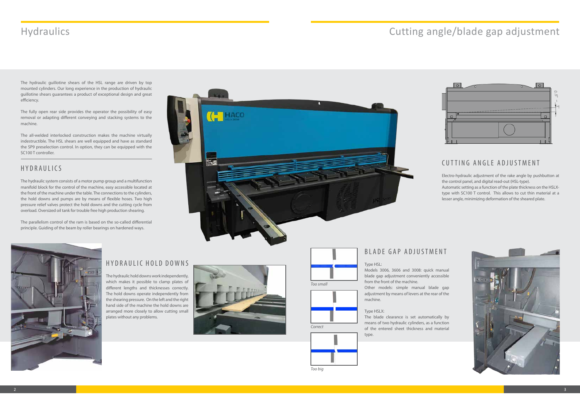# Hydraulics Cutting angle/blade gap adjustment

The hydraulic guillotine shears of the HSL range are driven by top mounted cylinders. Our long experience in the production of hydraulic guillotine shears guarantees a product of exceptional design and great efficiency.

The all-welded interlocked construction makes the machine virtually indestructible. The HSL shears are well equipped and have as standard the SP9 preselection control. In option, they can be equipped with the SC100 T controller.

The fully open rear side provides the operator the possibility of easy removal or adapting different conveying and stacking systems to the machine.

## HYDRAULICS

The hydraulic system consists of a motor pump group and a multifunction manifold block for the control of the machine, easy accessible located at the front of the machine under the table. The connections to the cylinders, the hold downs and pumps are by means of flexible hoses. Two high pressure relief valves protect the hold downs and the cutting cycle from overload. Oversized oil tank for trouble free high production shearing.

The parallelism control of the ram is based on the so-called differential principle. Guiding of the beam by roller bearings on hardened ways.





## HYDRAULIC HOLD DOWNS

The hydraulic hold downs work independently, which makes it possible to clamp plates of different lengths and thicknesses correctly. The hold downs operate independently from the shearing pressure. On the left and the right hand side of the machine the hold downs are arranged more closely to allow cutting small plates without any problems.



### CUTTING ANGLE ADJUSTMENT

Electro-hydraulic adjustment of the rake angle by pushbutton at the control panel, and digital read-out (HSL-type).

Automatic setting as a function of the plate thickness on the HSLXtype with SC100 T control. This allows to cut thin material at a lesser angle, minimizing deformation of the sheared plate.



### BLADE GAP ADJUSTMENT

Type HSL:

Models 3006, 3606 and 3008: quick manual blade gap adjustment conveniently accessible from the front of the machine.

Other models: simple manual blade gap adjustment by means of levers at the rear of the machine.

### Type HSLX:

The blade clearance is set automatically by means of two hydraulic cylinders, as a function of the entered sheet thickness and material type.









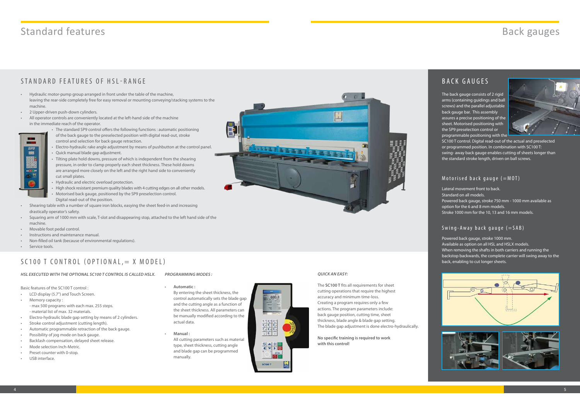- Hydraulic motor-pump group arranged in front under the table of the machine, leaving the rear-side completely free for easy removal or mounting conveying/stacking systems to the machine.
- 2 Upper-driven push-down cylinders.
- All operator controls are conveniently located at the left-hand side of the machine in the immediate reach of the operator.
- 
- The standard SP9 control offers the following functions : automatic positioning of the back gauge to the preselected position with digital read-out, stroke control and selection for back gauge retraction.
- Electro-hydraulic rake angle adjustment by means of pushbutton at the control panel.
- Quick manual blade gap adjustment.
- Tilting plate hold downs, pressure of which is independent from the shearing pressure, in order to clamp properly each sheet thickness. These hold downs are arranged more closely on the left and the right hand side to conveniently cut small plates.
- Hydraulic and electric overload protection.
- High shock resistant premium quality blades with 4 cutting edges on all other models.
- Motorised back gauge, positioned by the SP9 preselection control. Digital read-out of the position.
- Shearing table with a number of square iron blocks, easying the sheet feed-in and increasing drastically operator's safety.
- Squaring arm of 1000 mm with scale, T-slot and disappearing stop, attached to the left hand side of the machine.
- Movable foot pedal control.
- Instructions and maintenance manual.
- Non-filled oil tank (because of environmental regulations).
- Service tools.

## SC100 T CONTROL (OPTIONAL,  $= X$  MODEL)

- LCD display (5.7") and Touch Screen.
- Memory capacity : - max 500 programs with each max. 255 steps. - material list of max. 32 materials.
- Electro-hydraulic blade gap setting by means of 2 cylinders.
- Stroke control adjustment (cutting length).
- Automatic programmable retraction of the back gauge.
- Possibility of jog mode on back gauge.
- Backlash compensation, delayed sheet release.
- Mode selection Inch-Metric.
- Preset counter with 0-stop.
- USB interface.

Basic features of the SC100 T control :

The back gauge consists of 2 rigid arms (containing guidings and ball screws) and the parallel adjustable back gauge bar. This assembly assures a precise positioning of the sheet. Motorised positioning with the SP9 preselection control or programmable positioning with the



SC100 T control. Digital read-out of the actual and preselected or programmed position. In combination with SC100 T: swing- away back gauge enables cutting of sheets longer than the standard stroke length, driven on ball screws.

### Motorised back gauge  $(=MOT)$

Lateral movement front to back. Standard on all models. Powered back gauge, stroke 750 mm - 1000 mm available as option for the 6 and 8 mm models. Stroke 1000 mm for the 10, 13 and 16 mm models.

### Swing-Away back gauge  $(=SAB)$

Powered back gauge, stroke 1000 mm. Available as option on all HSL and HSLX models. When removing the shafts in both carriers and running the backstop backwards, the complete carrier will swing away to the back, enabling to cut longer sheets.





• **Automatic :**

By entering the sheet thickness, the control automatically sets the blade gap and the cutting angle as a function of the sheet thickness. All parameters can be manually modified according to the actual data.

• **Manual :**

All cutting parameters such as material type, sheet thickness, cutting angle and blade gap can be programmed manually.



# Standard features **Back gauges**

## STANDARD FEATURES OF HSL-RANGE

## BACK GAUGES

*HSL EXECUTED WITH THE OPTIONAL SC100 T CONTROL IS CALLED HSLX. PROGRAMMING MODES :*

The **SC100 T** fits all requirements for sheet cutting operations that require the highest accuracy and minimum time-loss. Creating a program requires only a few actions. The program parameters include: back gauge position, cutting time, sheet thickness, blade angle & blade gap setting. The blade gap adjustment is done electro-hydraulically.

**No specific training is required to work with this control!**



### *QUICK AN EASY:*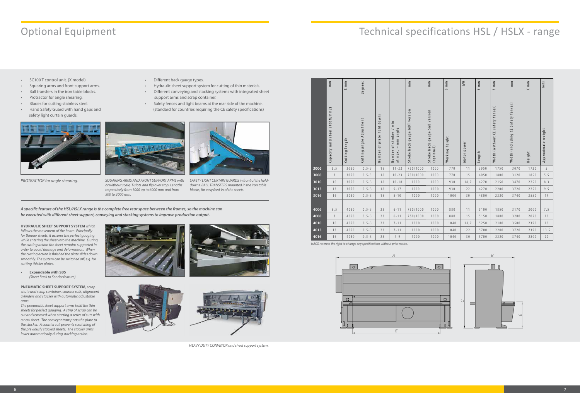# Optional Equipment Technical specifications HSL / HSLX - range

- SC100 T control unit. (X model)
- Squaring arms and front support arms.
- Ball transfers in the iron table blocks.
- Protractor for angle shearing.
- Blades for cutting stainless steel.
- Hand Safety Guard with hand gaps and safety light curtain guards.



- Different back gauge types.
- Hydraulic sheet support system for cutting of thin materials.
- Different conveying and stacking systems with integrated sheet support arms and scrap container.
- Safety fences and light beams at the rear side of the machine. (standard for countries requiring the CE safety specifications)



*PROTRACTOR for angle shearing. SQUARING ARMS AND FRONT SUPPORT ARMS with or without scale, T-slots and flip over stop. Lengths respectively from 1000 up to 6000 mm and from 500 to 3000 mm.*

### **HYDRAULIC SHEET SUPPORT SYSTEM** *which follows the movement of the beam. Principally for thinner sheets, it assures the perfect gauging while entering the sheet into the machine. During the cutting action the sheet remains supported in order to avoid damage and deformation. When the cutting action is finished the plate slides down smoothly. The system can be switched off, e.g. for cutting thicker plates.*

• **Expandable with SBS**  *(Sheet Back to Sender feature)*

### **PNEUMATIC SHEET SUPPORT SYSTEM***, scrap chute and scrap container, counter rolls, alignment cylinders and stacker with automatic adjustable arms.*

*The pneumatic sheet support arms hold the thin sheets for perfect gauging. A strip of scrap can be cut and removed when starting a series of cuts with a new sheet. The conveyor transports the plate to the stacker. A counter roll prevents scratching of the previously stacked sheets. The stacker arms lower automatically during stacking action.*









*SAFETY LIGHT CURTAIN GUARDS in front of the holddowns. BALL TRANSFERS mounted in the iron table blocks, for easy feed-in of the sheets.*

*A specific feature of the HSL/HSLX range is the complete free rear space between the frames, so the machine can be executed with different sheet support, conveying and stacking systems to improve production output.*

|      | $\mathop{\mathsf{m}}\limits$   | $\frac{\epsilon}{\epsilon}$<br>ш | degrees                     |                                                              |                                                                                                                        | $\mathop{\mathsf{m}}\limits$           | $\frac{m}{n}$                                     | $\mathop{\mathsf{m}}\limits$<br>$\mathop{\hbox{$\bigtriangleup$}}$ | $\geq$                      | $\mathop{\mathsf{m}}\limits$<br>$\prec$ | m m<br>$\infty$                     | $\mathop{\mathrm{m}}\limits$       | $\mathop{\mathsf{m}}\limits$<br>$\cup$ | Tons               |
|------|--------------------------------|----------------------------------|-----------------------------|--------------------------------------------------------------|------------------------------------------------------------------------------------------------------------------------|----------------------------------------|---------------------------------------------------|--------------------------------------------------------------------|-----------------------------|-----------------------------------------|-------------------------------------|------------------------------------|----------------------------------------|--------------------|
|      | Capacity mild steel (400N/mm2) | Cutting length                   | Angle Adjustment<br>Cutting | downs<br>hold<br>plate<br>$\overline{\phantom{0}}$<br>Number | $\overline{n}$ in<br>min angle<br>$\overline{\phantom{0}}$<br>strokes<br>$\overline{\phantom{0}}$<br>Number<br>at max. | MOT version<br>gauge<br>back<br>Stroke | SAB version<br>gauge<br>Stroke back<br>(optional) | Working height                                                     | power<br>Motor <sub>1</sub> | Length                                  | safety fences)<br>Width (without CE | Width (including CE Safety fences) | Height                                 | Approximate weight |
| 3006 | 6, 5                           | 3050                             | $0.5 - 3$                   | 18                                                           | $11 - 22$                                                                                                              | 750/1000                               | 1000                                              | 770                                                                | 11                          | 3950                                    | 1750                                | 3070                               | 1720                                   | 5                  |
| 3008 | $\,8\,$                        | 3050                             | $0.5 - 3$                   | 18                                                           | $10 - 23$                                                                                                              | 750/1000                               | 1000                                              | 770                                                                | 15                          | 4050                                    | 1800                                | 3120                               | 1850                                   | $5.5$              |
| 3010 | 10                             | 3050                             | $0.5 - 3$                   | 18                                                           | $10 - 18$                                                                                                              | 1000                                   | 1000                                              | 930                                                                | 18,7                        | 4270                                    | 2150                                | 3470                               | 2250                                   | 8.3                |
| 3013 | 13                             | 3050                             | $0.5 - 3$                   | 18                                                           | $9 - 17$                                                                                                               | 1000                                   | 1000                                              | 930                                                                | 22                          | 4270                                    | 2200                                | 3720                               | 2250                                   | 9.5                |
| 3016 | 16                             | 3050                             | $0.5 - 3$                   | 18                                                           | $5 - 10$                                                                                                               | 1000                                   | 1000                                              | 1000                                                               | 30                          | 4800                                    | 2220                                | 3740                               | 2550                                   | 14                 |
|      |                                |                                  |                             |                                                              |                                                                                                                        |                                        |                                                   |                                                                    |                             |                                         |                                     |                                    |                                        |                    |
| 4006 | 6, 5                           | 4050                             | $0.5 - 3$                   | 23                                                           | $6 - 11$                                                                                                               | 750/1000                               | 1000                                              | 880                                                                | 11                          | 5100                                    | 1850                                | 3170                               | 2000                                   | 7.5                |
| 4008 | $\, 8$                         | 4050                             | $0.5 - 3$                   | 23                                                           | $6 - 11$                                                                                                               | 750/1000                               | 1000                                              | 880                                                                | 15                          | 5150                                    | 1880                                | 3200                               | 2020                                   | 10                 |
| 4010 | 10                             | 4050                             | $0.5 - 3$                   | 23                                                           | $7 - 11$                                                                                                               | 1000                                   | 1000                                              | 1040                                                               | 18,7                        | 5250                                    | 2180                                | 3500                               | 2390                                   | 13                 |
| 4013 | 13                             | 4050                             | $0.5 - 3$                   | 23                                                           | $7 - 11$                                                                                                               | 1000                                   | 1000                                              | 1040                                                               | 22                          | 5700                                    | 2200                                | 3720                               | 2390                                   | 13.5               |
|      |                                |                                  |                             |                                                              |                                                                                                                        |                                        |                                                   |                                                                    |                             |                                         |                                     |                                    |                                        |                    |
| 4016 | 16                             | 4050                             | $0.5 - 3$                   | 23                                                           | $4 - 9$                                                                                                                | 1000                                   | 1000                                              | 1040                                                               | 30                          | 5700                                    | 2220                                | 3740                               | 2800                                   | 20                 |



*HEAVY DUTY CONVEYOR and sheet support system.*